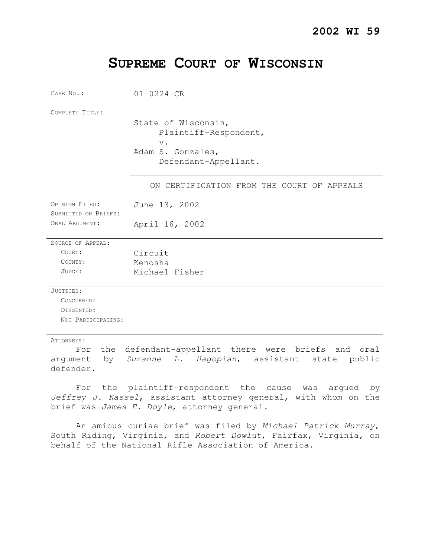# **SUPREME COURT OF WISCONSIN**

| CASE No.:            | $01 - 0224 - CR$                                       |
|----------------------|--------------------------------------------------------|
|                      |                                                        |
| COMPLETE TITLE:      |                                                        |
|                      | State of Wisconsin,                                    |
|                      | Plaintiff-Respondent,                                  |
|                      | $V$ .                                                  |
|                      | Adam S. Gonzales,                                      |
|                      | Defendant-Appellant.                                   |
|                      | ON CERTIFICATION FROM THE COURT OF APPEALS             |
| OPINION FILED:       | June 13, 2002                                          |
| SUBMITTED ON BRIEFS: |                                                        |
| ORAL ARGUMENT:       | April 16, 2002                                         |
| SOURCE OF APPEAL:    |                                                        |
| COURT:               | Circuit                                                |
| COUNTY:              | Kenosha                                                |
| JUDGE:               | Michael Fisher                                         |
| JUSTICES:            |                                                        |
| CONCURRED:           |                                                        |
| DISSENTED:           |                                                        |
| NOT PARTICIPATING:   |                                                        |
| ATTORNEYS:           | For the defendant-appellant there were briefs and oral |
|                      | $\sim$ $\sim$                                          |

argument by Suzanne L. Hagopian, assistant state public defender.

For the plaintiff-respondent the cause was argued by Jeffrey J. Kassel, assistant attorney general, with whom on the brief was James E. Doyle, attorney general.

An amicus curiae brief was filed by Michael Patrick Murray, South Riding, Virginia, and Robert Dowlut, Fairfax, Virginia, on behalf of the National Rifle Association of America.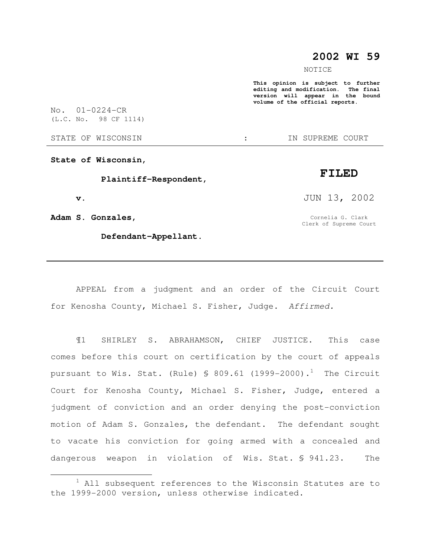## **2002 WI 59**

NOTICE

**This opinion is subject to further editing and modification. The final version will appear in the bound volume of the official reports.** 

No. 01-0224-CR (L.C. No. 98 CF 1114)

STATE OF WISCONSIN  $\cdot$   $\cdot$  in supreme court

**State of Wisconsin,** 

 **Plaintiff-Respondent,** 

 **v.** 

 $\overline{a}$ 

**Adam S. Gonzales,** 

 **Defendant-Appellant.** 

JUN 13, 2002

Cornelia G. Clark Clerk of Supreme Court

APPEAL from a judgment and an order of the Circuit Court for Kenosha County, Michael S. Fisher, Judge. Affirmed.

¶1 SHIRLEY S. ABRAHAMSON, CHIEF JUSTICE. This case comes before this court on certification by the court of appeals pursuant to Wis. Stat. (Rule)  $\text{\$ } 809.61$  (1999-2000).<sup>1</sup> The Circuit Court for Kenosha County, Michael S. Fisher, Judge, entered a judgment of conviction and an order denying the post-conviction motion of Adam S. Gonzales, the defendant. The defendant sought to vacate his conviction for going armed with a concealed and dangerous weapon in violation of Wis. Stat. § 941.23. The

## **FILED**

 $1$  All subsequent references to the Wisconsin Statutes are to the 1999-2000 version, unless otherwise indicated.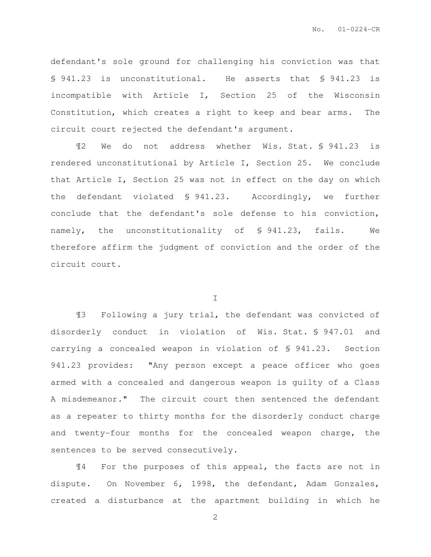defendant's sole ground for challenging his conviction was that § 941.23 is unconstitutional. He asserts that § 941.23 is incompatible with Article I, Section 25 of the Wisconsin Constitution, which creates a right to keep and bear arms. The circuit court rejected the defendant's argument.

¶2 We do not address whether Wis. Stat. § 941.23 is rendered unconstitutional by Article I, Section 25. We conclude that Article I, Section 25 was not in effect on the day on which the defendant violated § 941.23. Accordingly, we further conclude that the defendant's sole defense to his conviction, namely, the unconstitutionality of § 941.23, fails. We therefore affirm the judgment of conviction and the order of the circuit court.

I

¶3 Following a jury trial, the defendant was convicted of disorderly conduct in violation of Wis. Stat. § 947.01 and carrying a concealed weapon in violation of § 941.23. Section 941.23 provides: "Any person except a peace officer who goes armed with a concealed and dangerous weapon is guilty of a Class A misdemeanor." The circuit court then sentenced the defendant as a repeater to thirty months for the disorderly conduct charge and twenty-four months for the concealed weapon charge, the sentences to be served consecutively.

¶4 For the purposes of this appeal, the facts are not in dispute. On November 6, 1998, the defendant, Adam Gonzales, created a disturbance at the apartment building in which he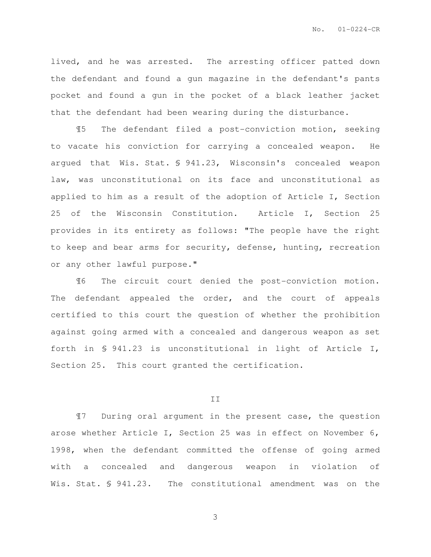lived, and he was arrested. The arresting officer patted down the defendant and found a gun magazine in the defendant's pants pocket and found a gun in the pocket of a black leather jacket that the defendant had been wearing during the disturbance.

¶5 The defendant filed a post-conviction motion, seeking to vacate his conviction for carrying a concealed weapon. He argued that Wis. Stat. § 941.23, Wisconsin's concealed weapon law, was unconstitutional on its face and unconstitutional as applied to him as a result of the adoption of Article I, Section 25 of the Wisconsin Constitution. Article I, Section 25 provides in its entirety as follows: "The people have the right to keep and bear arms for security, defense, hunting, recreation or any other lawful purpose."

¶6 The circuit court denied the post-conviction motion. The defendant appealed the order, and the court of appeals certified to this court the question of whether the prohibition against going armed with a concealed and dangerous weapon as set forth in § 941.23 is unconstitutional in light of Article I, Section 25. This court granted the certification.

#### II

¶7 During oral argument in the present case, the question arose whether Article I, Section 25 was in effect on November 6, 1998, when the defendant committed the offense of going armed with a concealed and dangerous weapon in violation of Wis. Stat. § 941.23. The constitutional amendment was on the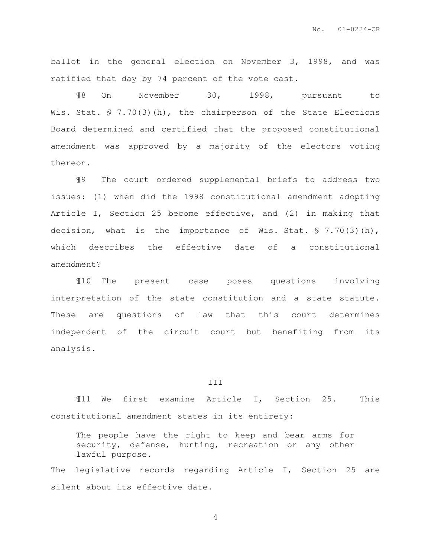ballot in the general election on November 3, 1998, and was ratified that day by 74 percent of the vote cast.

¶8 On November 30, 1998, pursuant to Wis. Stat. § 7.70(3)(h), the chairperson of the State Elections Board determined and certified that the proposed constitutional amendment was approved by a majority of the electors voting thereon.

¶9 The court ordered supplemental briefs to address two issues: (1) when did the 1998 constitutional amendment adopting Article I, Section 25 become effective, and (2) in making that decision, what is the importance of Wis. Stat. § 7.70(3)(h), which describes the effective date of a constitutional amendment?

¶10 The present case poses questions involving interpretation of the state constitution and a state statute. These are questions of law that this court determines independent of the circuit court but benefiting from its analysis.

#### III

¶11 We first examine Article I, Section 25. This constitutional amendment states in its entirety:

The people have the right to keep and bear arms for security, defense, hunting, recreation or any other lawful purpose.

The legislative records regarding Article I, Section 25 are silent about its effective date.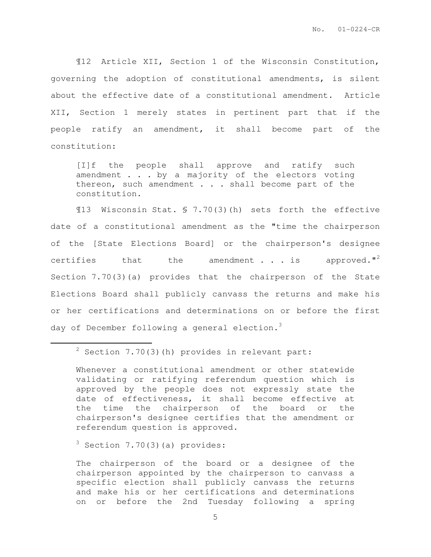¶12 Article XII, Section 1 of the Wisconsin Constitution, governing the adoption of constitutional amendments, is silent about the effective date of a constitutional amendment. Article XII, Section 1 merely states in pertinent part that if the people ratify an amendment, it shall become part of the constitution:

[I]f the people shall approve and ratify such amendment . . . by a majority of the electors voting thereon, such amendment . . . shall become part of the constitution.

¶13 Wisconsin Stat. § 7.70(3)(h) sets forth the effective date of a constitutional amendment as the "time the chairperson of the [State Elections Board] or the chairperson's designee certifies that the amendment  $\cdot$  . is approved."<sup>2</sup> Section 7.70(3)(a) provides that the chairperson of the State Elections Board shall publicly canvass the returns and make his or her certifications and determinations on or before the first day of December following a general election.<sup>3</sup>

 $2$  Section 7.70(3)(h) provides in relevant part:

Whenever a constitutional amendment or other statewide validating or ratifying referendum question which is approved by the people does not expressly state the date of effectiveness, it shall become effective at the time the chairperson of the board or the chairperson's designee certifies that the amendment or referendum question is approved.

 $3$  Section 7.70(3)(a) provides:

 $\overline{a}$ 

The chairperson of the board or a designee of the chairperson appointed by the chairperson to canvass a specific election shall publicly canvass the returns and make his or her certifications and determinations on or before the 2nd Tuesday following a spring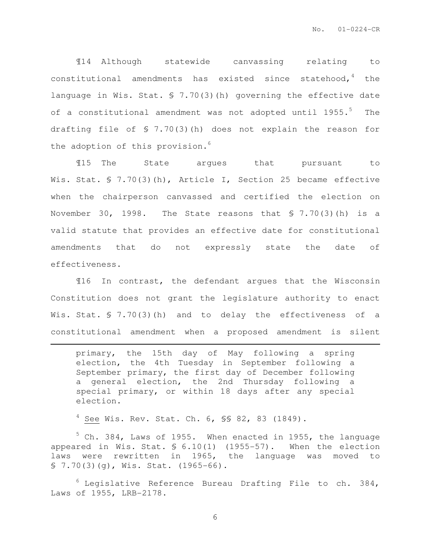¶14 Although statewide canvassing relating to constitutional amendments has existed since statehood,  $4$  the language in Wis. Stat. § 7.70(3)(h) governing the effective date of a constitutional amendment was not adopted until 1955.<sup>5</sup> The drafting file of § 7.70(3)(h) does not explain the reason for the adoption of this provision. $6$ 

¶15 The State argues that pursuant to Wis. Stat. § 7.70(3)(h), Article I, Section 25 became effective when the chairperson canvassed and certified the election on November 30, 1998. The State reasons that  $$7.70(3)(h)$  is a valid statute that provides an effective date for constitutional amendments that do not expressly state the date of effectiveness.

¶16 In contrast, the defendant argues that the Wisconsin Constitution does not grant the legislature authority to enact Wis. Stat. § 7.70(3)(h) and to delay the effectiveness of a constitutional amendment when a proposed amendment is silent

primary, the 15th day of May following a spring election, the 4th Tuesday in September following a September primary, the first day of December following a general election, the 2nd Thursday following a special primary, or within 18 days after any special election.

 $4$  See Wis. Rev. Stat. Ch. 6, SS 82, 83 (1849).

 $\overline{a}$ 

 $5$  Ch. 384, Laws of 1955. When enacted in 1955, the language appeared in Wis. Stat. § 6.10(1) (1955-57). When the election laws were rewritten in 1965, the language was moved to  $$7.70(3)(q)$ , Wis. Stat. (1965-66).

 $6$  Legislative Reference Bureau Drafting File to ch. 384, Laws of 1955, LRB-2178.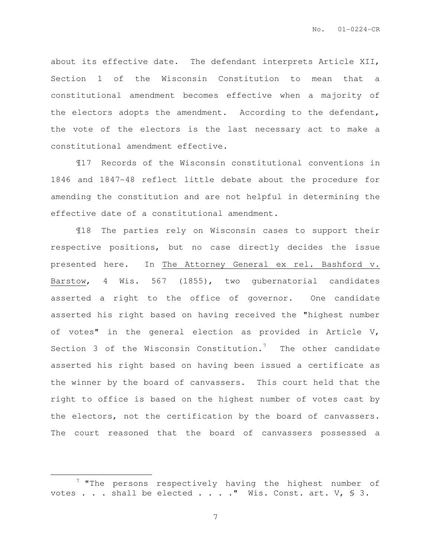about its effective date. The defendant interprets Article XII, Section 1 of the Wisconsin Constitution to mean that a constitutional amendment becomes effective when a majority of the electors adopts the amendment. According to the defendant, the vote of the electors is the last necessary act to make a constitutional amendment effective.

¶17 Records of the Wisconsin constitutional conventions in 1846 and 1847-48 reflect little debate about the procedure for amending the constitution and are not helpful in determining the effective date of a constitutional amendment.

¶18 The parties rely on Wisconsin cases to support their respective positions, but no case directly decides the issue presented here. In The Attorney General ex rel. Bashford v. Barstow, 4 Wis. 567 (1855), two gubernatorial candidates asserted a right to the office of governor. One candidate asserted his right based on having received the "highest number of votes" in the general election as provided in Article V, Section 3 of the Wisconsin Constitution.<sup>7</sup> The other candidate asserted his right based on having been issued a certificate as the winner by the board of canvassers. This court held that the right to office is based on the highest number of votes cast by the electors, not the certification by the board of canvassers. The court reasoned that the board of canvassers possessed a

 $\overline{a}$ 

 $7$  "The persons respectively having the highest number of votes . . . shall be elected . . . . " Wis. Const. art.  $V$ , § 3.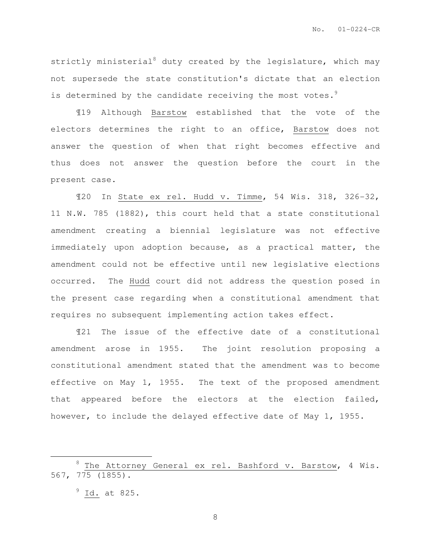strictly ministerial<sup>8</sup> duty created by the legislature, which may not supersede the state constitution's dictate that an election is determined by the candidate receiving the most votes.<sup>9</sup>

¶19 Although Barstow established that the vote of the electors determines the right to an office, Barstow does not answer the question of when that right becomes effective and thus does not answer the question before the court in the present case.

¶20 In State ex rel. Hudd v. Timme, 54 Wis. 318, 326-32, 11 N.W. 785 (1882), this court held that a state constitutional amendment creating a biennial legislature was not effective immediately upon adoption because, as a practical matter, the amendment could not be effective until new legislative elections occurred. The Hudd court did not address the question posed in the present case regarding when a constitutional amendment that requires no subsequent implementing action takes effect.

¶21 The issue of the effective date of a constitutional amendment arose in 1955. The joint resolution proposing a constitutional amendment stated that the amendment was to become effective on May 1, 1955. The text of the proposed amendment that appeared before the electors at the election failed, however, to include the delayed effective date of May 1, 1955.

 $\overline{a}$ 

 $8$  The Attorney General ex rel. Bashford v. Barstow, 4 Wis. 567, 775 (1855).

 $9$  Id. at 825.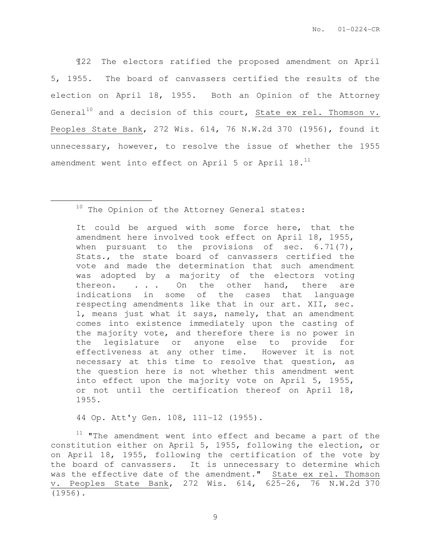¶22 The electors ratified the proposed amendment on April 5, 1955. The board of canvassers certified the results of the election on April 18, 1955. Both an Opinion of the Attorney General<sup>10</sup> and a decision of this court, State ex rel. Thomson  $v$ . Peoples State Bank, 272 Wis. 614, 76 N.W.2d 370 (1956), found it unnecessary, however, to resolve the issue of whether the 1955 amendment went into effect on April 5 or April 18.<sup>11</sup>

 $\overline{a}$ 

It could be argued with some force here, that the amendment here involved took effect on April 18, 1955, when pursuant to the provisions of sec. 6.71(7), Stats., the state board of canvassers certified the vote and made the determination that such amendment was adopted by a majority of the electors voting thereon. . . . On the other hand, there are indications in some of the cases that language respecting amendments like that in our art. XII, sec. 1, means just what it says, namely, that an amendment comes into existence immediately upon the casting of the majority vote, and therefore there is no power in the legislature or anyone else to provide for effectiveness at any other time. However it is not necessary at this time to resolve that question, as the question here is not whether this amendment went into effect upon the majority vote on April 5, 1955, or not until the certification thereof on April 18, 1955.

44 Op. Att'y Gen. 108, 111-12 (1955).

 $11$  "The amendment went into effect and became a part of the constitution either on April 5, 1955, following the election, or on April 18, 1955, following the certification of the vote by the board of canvassers. It is unnecessary to determine which was the effective date of the amendment." State ex rel. Thomson v. Peoples State Bank, 272 Wis. 614, 625-26, 76 N.W.2d 370 (1956).

<sup>&</sup>lt;sup>10</sup> The Opinion of the Attorney General states: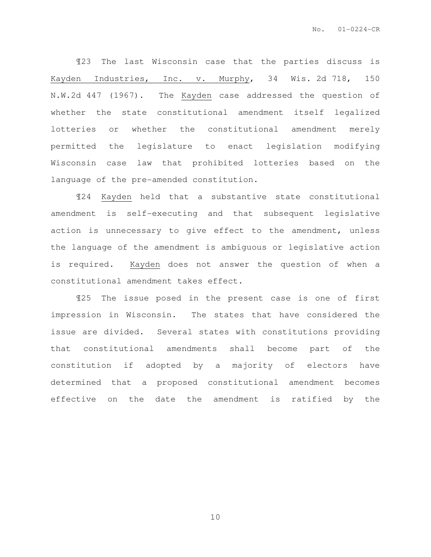¶23 The last Wisconsin case that the parties discuss is Kayden Industries, Inc. v. Murphy, 34 Wis. 2d 718, 150 N.W.2d 447 (1967). The Kayden case addressed the question of whether the state constitutional amendment itself legalized lotteries or whether the constitutional amendment merely permitted the legislature to enact legislation modifying Wisconsin case law that prohibited lotteries based on the language of the pre-amended constitution.

¶24 Kayden held that a substantive state constitutional amendment is self-executing and that subsequent legislative action is unnecessary to give effect to the amendment, unless the language of the amendment is ambiguous or legislative action is required. Kayden does not answer the question of when a constitutional amendment takes effect.

¶25 The issue posed in the present case is one of first impression in Wisconsin. The states that have considered the issue are divided. Several states with constitutions providing that constitutional amendments shall become part of the constitution if adopted by a majority of electors have determined that a proposed constitutional amendment becomes effective on the date the amendment is ratified by the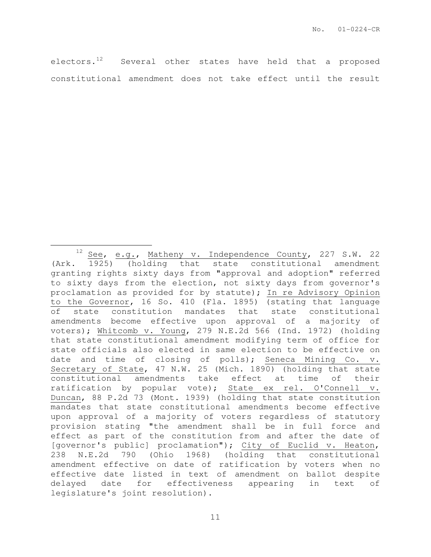electors.<sup>12</sup> Several other states have held that a proposed constitutional amendment does not take effect until the result

 $\overline{a}$ 

<sup>&</sup>lt;sup>12</sup> See, e.g<sub>.</sub>, Matheny v. Independence County, 227 S.W. 22 (Ark. 1925) (holding that state constitutional amendment granting rights sixty days from "approval and adoption" referred to sixty days from the election, not sixty days from governor's proclamation as provided for by statute); In re Advisory Opinion to the Governor, 16 So. 410 (Fla. 1895) (stating that language of state constitution mandates that state constitutional amendments become effective upon approval of a majority of voters); Whitcomb v. Young, 279 N.E.2d 566 (Ind. 1972) (holding that state constitutional amendment modifying term of office for state officials also elected in same election to be effective on date and time of closing of polls); Seneca Mining Co. v. Secretary of State, 47 N.W. 25 (Mich. 1890) (holding that state constitutional amendments take effect at time of their ratification by popular vote); State ex rel. O'Connell v. Duncan, 88 P.2d 73 (Mont. 1939) (holding that state constitution mandates that state constitutional amendments become effective upon approval of a majority of voters regardless of statutory provision stating "the amendment shall be in full force and effect as part of the constitution from and after the date of [governor's public] proclamation"); City of Euclid v. Heaton, 238 N.E.2d 790 (Ohio 1968) (holding that constitutional amendment effective on date of ratification by voters when no effective date listed in text of amendment on ballot despite delayed date for effectiveness appearing in text of legislature's joint resolution).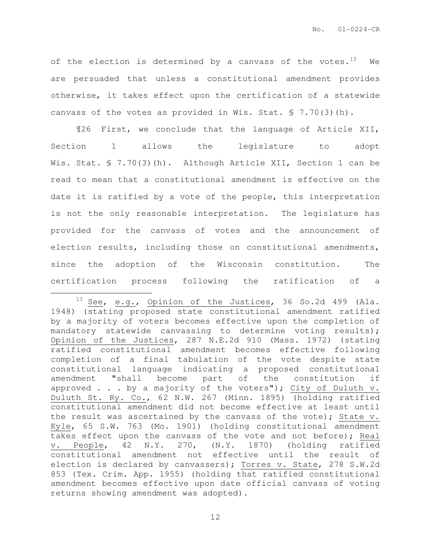of the election is determined by a canvass of the votes.<sup>13</sup> We are persuaded that unless a constitutional amendment provides otherwise, it takes effect upon the certification of a statewide canvass of the votes as provided in Wis. Stat. § 7.70(3)(h).

¶26 First, we conclude that the language of Article XII, Section 1 allows the legislature to adopt Wis. Stat. § 7.70(3)(h). Although Article XII, Section 1 can be read to mean that a constitutional amendment is effective on the date it is ratified by a vote of the people, this interpretation is not the only reasonable interpretation. The legislature has provided for the canvass of votes and the announcement of election results, including those on constitutional amendments, since the adoption of the Wisconsin constitution. The certification process following the ratification of a  $\overline{a}$ 

 $13$  See, e.g., Opinion of the Justices, 36 So.2d 499 (Ala. 1948) (stating proposed state constitutional amendment ratified by a majority of voters becomes effective upon the completion of mandatory statewide canvassing to determine voting results); Opinion of the Justices, 287 N.E.2d 910 (Mass. 1972) (stating ratified constitutional amendment becomes effective following completion of a final tabulation of the vote despite state constitutional language indicating a proposed constitutional amendment "shall become part of the constitution if approved . . . by a majority of the voters"); City of Duluth v. Duluth St. Ry. Co., 62 N.W. 267 (Minn. 1895) (holding ratified constitutional amendment did not become effective at least until the result was ascertained by the canvass of the vote); State v. Kyle, 65 S.W. 763 (Mo. 1901) (holding constitutional amendment takes effect upon the canvass of the vote and not before); Real v. People, 42 N.Y. 270, (N.Y. 1870) (holding ratified constitutional amendment not effective until the result of election is declared by canvassers); Torres v. State, 278 S.W.2d 853 (Tex. Crim. App. 1955) (holding that ratified constitutional amendment becomes effective upon date official canvass of voting returns showing amendment was adopted).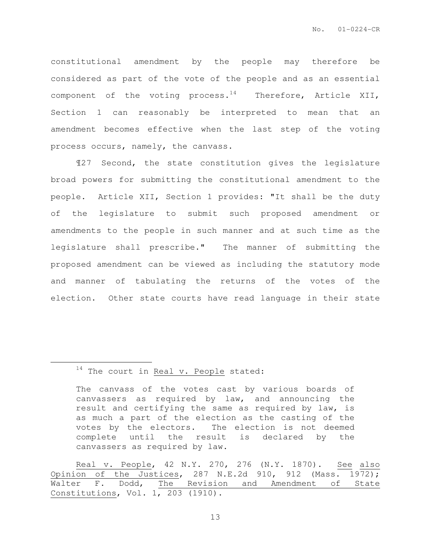constitutional amendment by the people may therefore be considered as part of the vote of the people and as an essential component of the voting process. $14$  Therefore, Article XII, Section 1 can reasonably be interpreted to mean that an amendment becomes effective when the last step of the voting process occurs, namely, the canvass.

¶27 Second, the state constitution gives the legislature broad powers for submitting the constitutional amendment to the people. Article XII, Section 1 provides: "It shall be the duty of the legislature to submit such proposed amendment or amendments to the people in such manner and at such time as the legislature shall prescribe." The manner of submitting the proposed amendment can be viewed as including the statutory mode and manner of tabulating the returns of the votes of the election. Other state courts have read language in their state

## $14$  The court in Real v. People stated:

 $\overline{a}$ 

The canvass of the votes cast by various boards of canvassers as required by law, and announcing the result and certifying the same as required by law, is as much a part of the election as the casting of the votes by the electors. The election is not deemed complete until the result is declared by the canvassers as required by law.

Real v. People, 42 N.Y. 270, 276 (N.Y. 1870). See also Opinion of the Justices, 287 N.E.2d 910, 912 (Mass.  $19\overline{72}$ ); Walter F. Dodd, The Revision and Amendment of State Constitutions, Vol. 1, 203 (1910).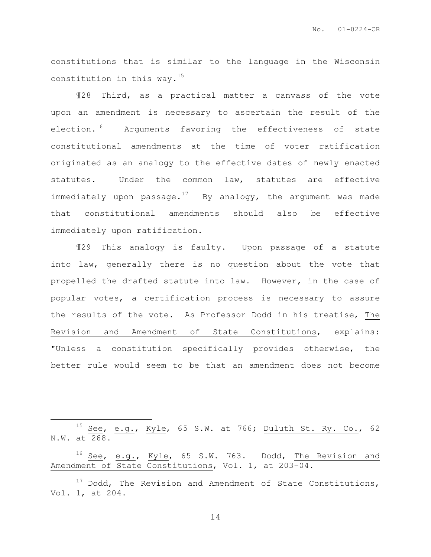constitutions that is similar to the language in the Wisconsin constitution in this way. $^{15}$ 

¶28 Third, as a practical matter a canvass of the vote upon an amendment is necessary to ascertain the result of the election.<sup>16</sup> Arguments favoring the effectiveness of state constitutional amendments at the time of voter ratification originated as an analogy to the effective dates of newly enacted statutes. Under the common law, statutes are effective immediately upon passage.<sup>17</sup> By analogy, the argument was made that constitutional amendments should also be effective immediately upon ratification.

¶29 This analogy is faulty. Upon passage of a statute into law, generally there is no question about the vote that propelled the drafted statute into law. However, in the case of popular votes, a certification process is necessary to assure the results of the vote. As Professor Dodd in his treatise, The Revision and Amendment of State Constitutions, explains: "Unless a constitution specifically provides otherwise, the better rule would seem to be that an amendment does not become

 $\overline{a}$ 

<sup>&</sup>lt;sup>15</sup> See, e.g., Kyle, 65 S.W. at 766; Duluth St. Ry. Co., 62 N.W. at 268.

<sup>&</sup>lt;sup>16</sup> See, e.g., Kyle, 65 S.W. 763. Dodd, The Revision and Amendment of State Constitutions, Vol. 1, at 203-04.

 $17$  Dodd, The Revision and Amendment of State Constitutions, Vol. 1, at 204.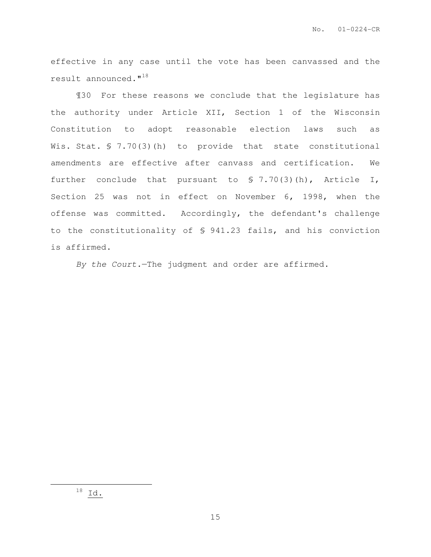effective in any case until the vote has been canvassed and the result announced."<sup>18</sup>

¶30 For these reasons we conclude that the legislature has the authority under Article XII, Section 1 of the Wisconsin Constitution to adopt reasonable election laws such as Wis. Stat. § 7.70(3)(h) to provide that state constitutional amendments are effective after canvass and certification. We further conclude that pursuant to § 7.70(3)(h), Article I, Section 25 was not in effect on November 6, 1998, when the offense was committed. Accordingly, the defendant's challenge to the constitutionality of § 941.23 fails, and his conviction is affirmed.

By the Court.—The judgment and order are affirmed.

 $\overline{a}$